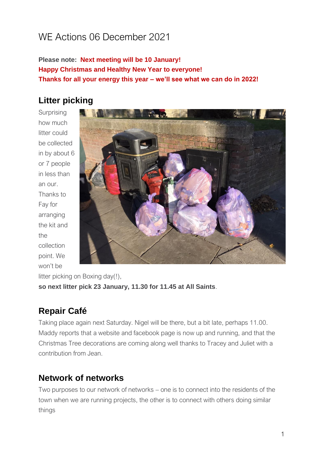# WE Actions 06 December 2021

**Please note: Next meeting will be 10 January! Happy Christmas and Healthy New Year to everyone! Thanks for all your energy this year – we'll see what we can do in 2022!**

# **Litter picking**

**Surprising** how much litter could be collected in by about 6 or 7 people in less than an our. Thanks to Fay for arranging the kit and the collection point. We won't be



litter picking on Boxing day(!), **so next litter pick 23 January, 11.30 for 11.45 at All Saints**.

# **Repair Café**

Taking place again next Saturday. Nigel will be there, but a bit late, perhaps 11.00. Maddy reports that a website and facebook page is now up and running, and that the Christmas Tree decorations are coming along well thanks to Tracey and Juliet with a contribution from Jean.

# **Network of networks**

Two purposes to our network of networks – one is to connect into the residents of the town when we are running projects, the other is to connect with others doing similar things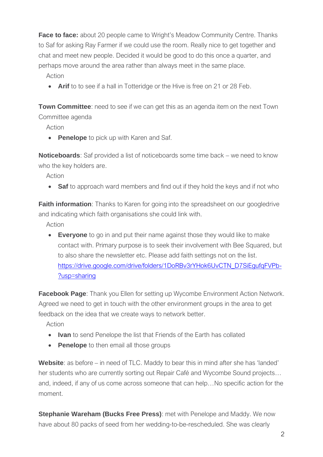**Face to face:** about 20 people came to Wright's Meadow Community Centre. Thanks to Saf for asking Ray Farmer if we could use the room. Really nice to get together and chat and meet new people. Decided it would be good to do this once a quarter, and perhaps move around the area rather than always meet in the same place.

Action

• **Arif** to to see if a hall in Totteridge or the Hive is free on 21 or 28 Feb.

**Town Committee**: need to see if we can get this as an agenda item on the next Town Committee agenda

Action

• **Penelope** to pick up with Karen and Saf.

**Noticeboards**: Saf provided a list of noticeboards some time back – we need to know who the key holders are.

Action

• **Saf** to approach ward members and find out if they hold the keys and if not who

**Faith information**: Thanks to Karen for going into the spreadsheet on our googledrive and indicating which faith organisations she could link with.

Action

• **Everyone** to go in and put their name against those they would like to make contact with. Primary purpose is to seek their involvement with Bee Squared, but to also share the newsletter etc. Please add faith settings not on the list. https://drive.google.com/drive/folders/1DoRBv3rYHok6UvCTN\_D7SiEgufgFVPb-[?usp=sharing](https://drive.google.com/drive/folders/1DoRBv3rYHok6UvCTN_D7SiEgufqFVPb-?usp=sharing)

**Facebook Page**: Thank you Ellen for setting up Wycombe Environment Action Network. Agreed we need to get in touch with the other environment groups in the area to get feedback on the idea that we create ways to network better.

Action

- **Ivan** to send Penelope the list that Friends of the Earth has collated
- **Penelope** to then email all those groups

**Website**: as before – in need of TLC. Maddy to bear this in mind after she has 'landed' her students who are currently sorting out Repair Café and Wycombe Sound projects… and, indeed, if any of us come across someone that can help…No specific action for the moment.

**Stephanie Wareham (Bucks Free Press)**: met with Penelope and Maddy. We now have about 80 packs of seed from her wedding-to-be-rescheduled. She was clearly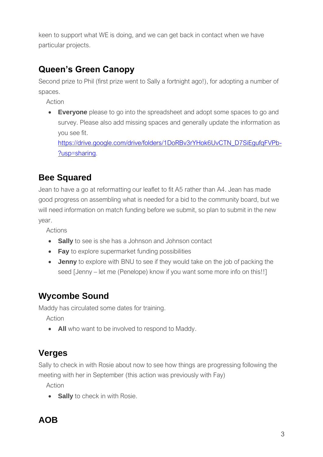keen to support what WE is doing, and we can get back in contact when we have particular projects.

# **Queen's Green Canopy**

Second prize to Phil (first prize went to Sally a fortnight ago!), for adopting a number of spaces.

Action

• **Everyone** please to go into the spreadsheet and adopt some spaces to go and survey. Please also add missing spaces and generally update the information as you see fit.

[https://drive.google.com/drive/folders/1DoRBv3rYHok6UvCTN\\_D7SiEgufqFVPb-](https://drive.google.com/drive/folders/1DoRBv3rYHok6UvCTN_D7SiEgufqFVPb-?usp=sharing) [?usp=sharing.](https://drive.google.com/drive/folders/1DoRBv3rYHok6UvCTN_D7SiEgufqFVPb-?usp=sharing)

### **Bee Squared**

Jean to have a go at reformatting our leaflet to fit A5 rather than A4. Jean has made good progress on assembling what is needed for a bid to the community board, but we will need information on match funding before we submit, so plan to submit in the new year.

Actions

- **Sally** to see is she has a Johnson and Johnson contact
- **Fay** to explore supermarket funding possibilities
- **Jenny** to explore with BNU to see if they would take on the job of packing the seed [Jenny – let me (Penelope) know if you want some more info on this!!]

### **Wycombe Sound**

Maddy has circulated some dates for training.

Action

• **All** who want to be involved to respond to Maddy.

### **Verges**

Sally to check in with Rosie about now to see how things are progressing following the meeting with her in September (this action was previously with Fay)

Action

• **Sally** to check in with Rosie.